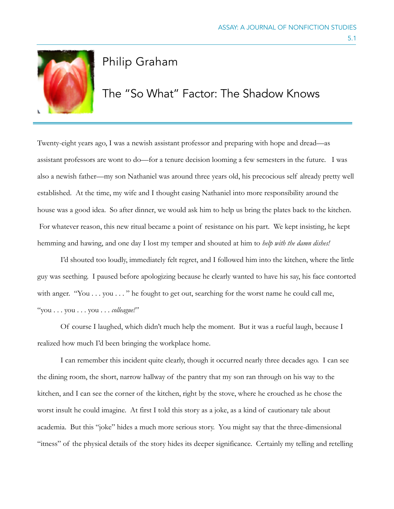

## Philip Graham

## The "So What" Factor: The Shadow Knows

Twenty-eight years ago, I was a newish assistant professor and preparing with hope and dread—as assistant professors are wont to do—for a tenure decision looming a few semesters in the future. I was also a newish father—my son Nathaniel was around three years old, his precocious self already pretty well established. At the time, my wife and I thought easing Nathaniel into more responsibility around the house was a good idea. So after dinner, we would ask him to help us bring the plates back to the kitchen. For whatever reason, this new ritual became a point of resistance on his part. We kept insisting, he kept hemming and hawing, and one day I lost my temper and shouted at him to *help with the damn dishes!*

I'd shouted too loudly, immediately felt regret, and I followed him into the kitchen, where the little guy was seething. I paused before apologizing because he clearly wanted to have his say, his face contorted with anger. "You . . . you . . . " he fought to get out, searching for the worst name he could call me, "you . . . you . . . you . . . *colleague!"*

Of course I laughed, which didn't much help the moment. But it was a rueful laugh, because I realized how much I'd been bringing the workplace home.

I can remember this incident quite clearly, though it occurred nearly three decades ago. I can see the dining room, the short, narrow hallway of the pantry that my son ran through on his way to the kitchen, and I can see the corner of the kitchen, right by the stove, where he crouched as he chose the worst insult he could imagine. At first I told this story as a joke, as a kind of cautionary tale about academia. But this "joke" hides a much more serious story. You might say that the three-dimensional "itness" of the physical details of the story hides its deeper significance. Certainly my telling and retelling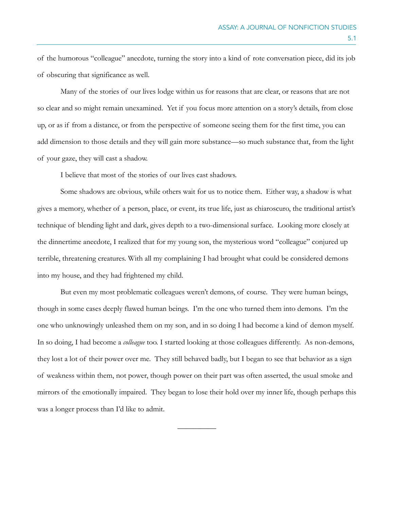of the humorous "colleague" anecdote, turning the story into a kind of rote conversation piece, did its job of obscuring that significance as well.

Many of the stories of our lives lodge within us for reasons that are clear, or reasons that are not so clear and so might remain unexamined. Yet if you focus more attention on a story's details, from close up, or as if from a distance, or from the perspective of someone seeing them for the first time, you can add dimension to those details and they will gain more substance—so much substance that, from the light of your gaze, they will cast a shadow.

I believe that most of the stories of our lives cast shadows.

Some shadows are obvious, while others wait for us to notice them. Either way, a shadow is what gives a memory, whether of a person, place, or event, its true life, just as chiaroscuro, the traditional artist's technique of blending light and dark, gives depth to a two-dimensional surface. Looking more closely at the dinnertime anecdote, I realized that for my young son, the mysterious word "colleague" conjured up terrible, threatening creatures. With all my complaining I had brought what could be considered demons into my house, and they had frightened my child.

But even my most problematic colleagues weren't demons, of course. They were human beings, though in some cases deeply flawed human beings. I'm the one who turned them into demons. I'm the one who unknowingly unleashed them on my son, and in so doing I had become a kind of demon myself. In so doing, I had become a *colleague* too. I started looking at those colleagues differently. As non-demons, they lost a lot of their power over me. They still behaved badly, but I began to see that behavior as a sign of weakness within them, not power, though power on their part was often asserted, the usual smoke and mirrors of the emotionally impaired. They began to lose their hold over my inner life, though perhaps this was a longer process than I'd like to admit.

 $\overline{\phantom{a}}$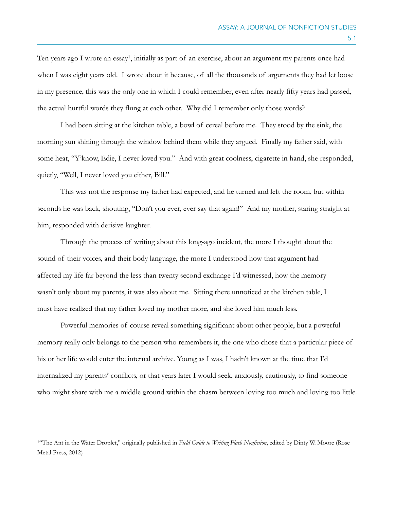<span id="page-2-1"></span>Ten years ago I wrote an essay<sup>[1](#page-2-0)</sup>, initially as part of an exercise, about an argument my parents once had when I was eight years old. I wrote about it because, of all the thousands of arguments they had let loose in my presence, this was the only one in which I could remember, even after nearly fifty years had passed, the actual hurtful words they flung at each other. Why did I remember only those words?

I had been sitting at the kitchen table, a bowl of cereal before me. They stood by the sink, the morning sun shining through the window behind them while they argued. Finally my father said, with some heat, "Y'know, Edie, I never loved you." And with great coolness, cigarette in hand, she responded, quietly, "Well, I never loved you either, Bill."

This was not the response my father had expected, and he turned and left the room, but within seconds he was back, shouting, "Don't you ever, ever say that again!" And my mother, staring straight at him, responded with derisive laughter.

Through the process of writing about this long-ago incident, the more I thought about the sound of their voices, and their body language, the more I understood how that argument had affected my life far beyond the less than twenty second exchange I'd witnessed, how the memory wasn't only about my parents, it was also about me. Sitting there unnoticed at the kitchen table, I must have realized that my father loved my mother more, and she loved him much less.

Powerful memories of course reveal something significant about other people, but a powerful memory really only belongs to the person who remembers it, the one who chose that a particular piece of his or her life would enter the internal archive. Young as I was, I hadn't known at the time that I'd internalized my parents' conflicts, or that years later I would seek, anxiously, cautiously, to find someone who might share with me a middle ground within the chasm between loving too much and loving too little.

<span id="page-2-0"></span><sup>&</sup>lt;sup>[1](#page-2-1)6</sup>The Ant in the Water Droplet," originally published in *Field Guide to Writing Flash Nonfiction*, edited by Dinty W. Moore (Rose Metal Press, 2012)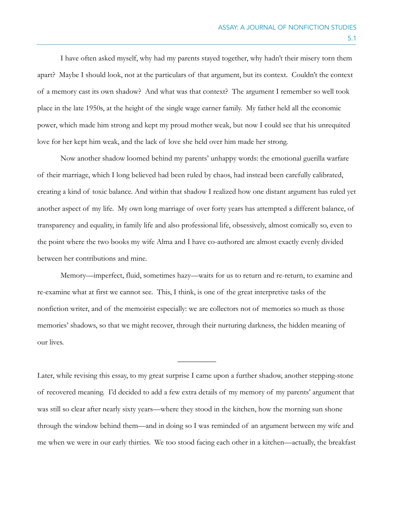I have often asked myself, why had my parents stayed together, why hadn't their misery torn them apart? Maybe I should look, not at the particulars of that argument, but its context. Couldn't the context of a memory cast its own shadow? And what was that context? The argument I remember so well took place in the late 1950s, at the height of the single wage earner family. My father held all the economic power, which made him strong and kept my proud mother weak, but now I could see that his unrequited love for her kept him weak, and the lack of love she held over him made her strong.

Now another shadow loomed behind my parents' unhappy words: the emotional guerilla warfare of their marriage, which I long believed had been ruled by chaos, had instead been carefully calibrated, creating a kind of toxic balance. And within that shadow I realized how one distant argument has ruled yet another aspect of my life. My own long marriage of over forty years has attempted a different balance, of transparency and equality, in family life and also professional life, obsessively, almost comically so, even to the point where the two books my wife Alma and I have co-authored are almost exactly evenly divided between her contributions and mine.

Memory—imperfect, fluid, sometimes hazy—waits for us to return and re-return, to examine and re-examine what at first we cannot see. This, I think, is one of the great interpretive tasks of the nonfiction writer, and of the memoirist especially: we are collectors not of memories so much as those memories' shadows, so that we might recover, through their nurturing darkness, the hidden meaning of our lives.

Later, while revising this essay, to my great surprise I came upon a further shadow, another stepping-stone of recovered meaning. I'd decided to add a few extra details of my memory of my parents' argument that was still so clear after nearly sixty years—where they stood in the kitchen, how the morning sun shone through the window behind them—and in doing so I was reminded of an argument between my wife and me when we were in our early thirties. We too stood facing each other in a kitchen—actually, the breakfast

 $\overline{\phantom{a}}$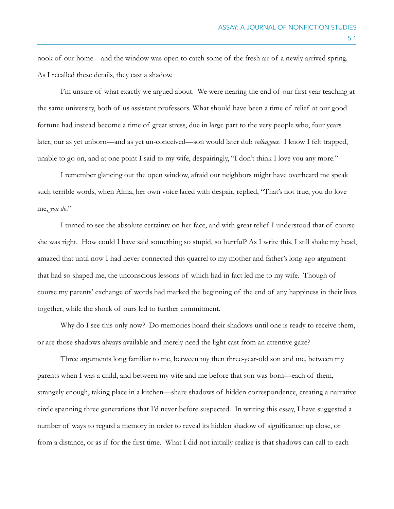nook of our home—and the window was open to catch some of the fresh air of a newly arrived spring. As I recalled these details, they cast a shadow.

I'm unsure of what exactly we argued about. We were nearing the end of our first year teaching at the same university, both of us assistant professors. What should have been a time of relief at our good fortune had instead become a time of great stress, due in large part to the very people who, four years later, our as yet unborn—and as yet un-conceived—son would later dub *colleagues.* I know I felt trapped, unable to go on, and at one point I said to my wife, despairingly, "I don't think I love you any more."

I remember glancing out the open window, afraid our neighbors might have overheard me speak such terrible words, when Alma, her own voice laced with despair, replied, "That's not true, you do love me, *you do*."

I turned to see the absolute certainty on her face, and with great relief I understood that of course she was right. How could I have said something so stupid, so hurtful? As I write this, I still shake my head, amazed that until now I had never connected this quarrel to my mother and father's long-ago argument that had so shaped me, the unconscious lessons of which had in fact led me to my wife. Though of course my parents' exchange of words had marked the beginning of the end of any happiness in their lives together, while the shock of ours led to further commitment.

Why do I see this only now? Do memories hoard their shadows until one is ready to receive them, or are those shadows always available and merely need the light cast from an attentive gaze?

Three arguments long familiar to me, between my then three-year-old son and me, between my parents when I was a child, and between my wife and me before that son was born—each of them, strangely enough, taking place in a kitchen—share shadows of hidden correspondence, creating a narrative circle spanning three generations that I'd never before suspected. In writing this essay, I have suggested a number of ways to regard a memory in order to reveal its hidden shadow of significance: up close, or from a distance, or as if for the first time. What I did not initially realize is that shadows can call to each